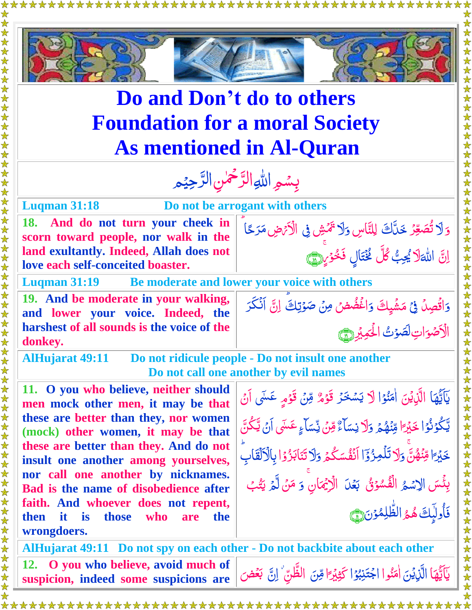

## **Do and Don't do to others Foundation for a moral Society As mentioned in Al-Quran**

女女女女女女女女女女女女

**Luqman 31:18 Do not be arrogant with others**

**18. And do not turn your cheek in scorn toward people, nor walk in the land exultantly. Indeed, Allah does not love each self-conceited boaster.**

وَلاَ تُصَعِّرُ خَدَّاكَ لِلنَّاسِ وَلاَ ر<br>د Ĕ وَلَا تَمَّشِ فِی الْاَتْهِ مَرَحًا ۖ<br>\* ر<br>پ J<br>| َّ ِن ا  $\ddot{\cdot}$ اللّٰہَلاَ يُحِبُّ كُلُّ نُخْتَالٍ فَخْوَيِرِيْنَ **شاع** Ï گ<br>گ <u>أ</u> ا<br>ا

**Luqman 31:19 Be moderate and lower your voice with others**

**19. And be moderate in your walking, and lower your voice. Indeed, the harshest of all sounds is the voice of the donkey.**

**AlHujarat 49:11 Do not ridicule people - Do not insult one another Do not call one another by evil names** 

**11. O you who believe, neither should men mock other men, it may be that these are better than they, nor women (mock) other women, it may be that these are better than they. And do not insult one another among yourselves, nor call one another by nicknames. Bad is the name of disobedience after faith. And whoever does not repent, then it is those who are the wrongdoers.**

دَاقُصِلُ فِيُ مَشْيِكَ ۡ وَاغْضُضْ مِنْ صَوْتِكَ ۚ إِنَّ أَنْكَرَ  $\ddot{\cdot}$ ت <u>أ</u> ا ِت ا <u>َ</u> الْأَصُوَاتِ لَصَّوْتُ الْحَمِيْرِ لِسَّ  $\tilde{\mathcal{L}}$ 

女女女女女女女女女女女女女女女女女女女女女女女女女女女女女女女女女女女女女女

يَاَيُّهَا الَّزِيْنَ اٰمَنُوۡا لَا يَسۡخَرُ نا<br>ا <u>ئى</u><br>: ٰ  $\tilde{\zeta}$ <u>ٱ</u> ر<br>ا دَ <u>ú</u> ٌ قَوْمٌ مِّنْ قَوْمٍ عَسَى أَنْ <u>ُز</u>  $\ddot{\cdot}$ Ž <u>ُ</u><br>ُ ٰ ۡ ا <u>أ</u> يَّكُوۡنُوۡا خَيۡرَ ۖ ہ<br>ا <u>ُ</u><br>ا <u>ئى</u><br>: ً َّ ۡي خ َّ قِنۡهُمۡ رَكَ نِسَآءٌ ہ<br>گ  $\overline{\mathcal{L}}$ Ž **أَمَّة** نِسَاءٌ وِّنَ نِّسَاءٍ  $\ddot{\cdot}$ Ž **سَ** نِّسَا<sub>ٓءٍ</sub> عَسَّى اَنۡ يَّكُنَّ ٰ ے<br>ا  $\ddot{\cdot}$ ֪֦֧֦֧֦֡֘֘׆<br>֧֪֘ ا ً َّ ۡي خ َّ ن ۡه ن ِ م  $\overline{\mathcal{L}}$ Ž وَلَا تَلْمِزُوْٓا اَنْفُسَكُمۡ وَلَا <u>ُ</u> ار<br>ا ُ<br>ٱ وَلَا تَنَابَزُوۡ ابِالۡكَلَّقَابِ <u>ُ</u> ُ<br>ُ بِئْسَ الِاسْمُ الْفُسُوۡقُ بَعۡلَ الۡاِیۡمَانِ وَ **گ** م<br>ا <u>أ</u> **شا** وَ هَنْ لَّهُ يَتُّبُ  $\tilde{\cdot}$ ہ<br>گ j ֺ<u>֓</u> ن<br>گ فَأُولِيِكَ هُمُ الظُّلِمُوْنَ (١ ا<br>م ٰ **گر**<br>گر **ه** <u>أ</u> ِ<br>م

**AlHujarat 49:11 Do not spy on each other - Do not backbite about each other 12. O you who believe, avoid much of suspicion, indeed some suspicions are** ٰۤ ي ا َّ ه اَّي َّ ۡن َِّذي ال وا ن َّ م ا اٰ و ب نِ َّ ت اج ا ٰ نا<br>ا <u>ئا:</u>  $\tilde{\zeta}$ مُ<br>م ֦֦֦֦֦֦֪֦֦֪֦֞֞֝֝֝֝֝֝֝֝֝֓֝֝֓֕֓֝֓֝֝֓֝ بہ<br>ا ۡ ً ۡي ِ كَّث َّ ن ِ م ِ ظَّ ن َّ ال ِن َّض ا ع َّ بقر į  $\ddot{\cdot}$ á